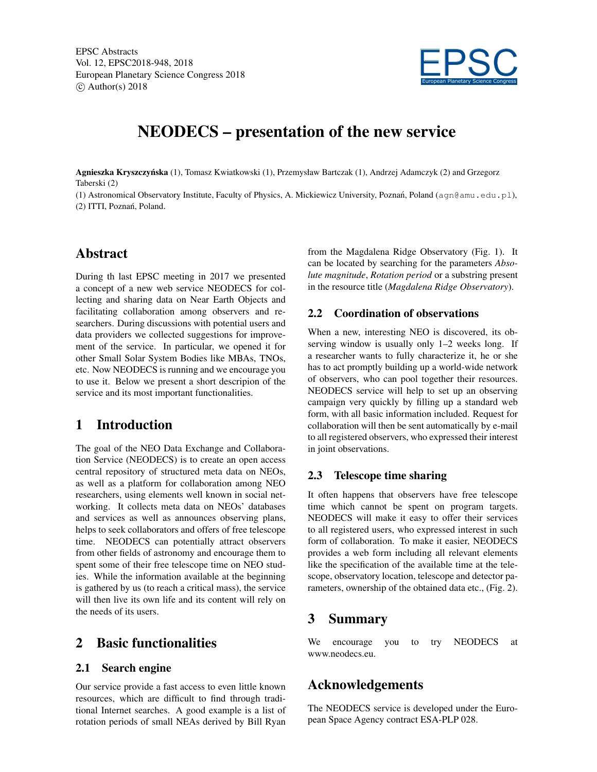

# NEODECS – presentation of the new service

Agnieszka Kryszczyńska (1), Tomasz Kwiatkowski (1), Przemysław Bartczak (1), Andrzej Adamczyk (2) and Grzegorz Taberski (2)

(1) Astronomical Observatory Institute, Faculty of Physics, A. Mickiewicz University, Poznań, Poland ( $\alpha$ qn@amu.edu.pl), (2) ITTI, Poznań, Poland.

### Abstract

During th last EPSC meeting in 2017 we presented a concept of a new web service NEODECS for collecting and sharing data on Near Earth Objects and facilitating collaboration among observers and researchers. During discussions with potential users and data providers we collected suggestions for improvement of the service. In particular, we opened it for other Small Solar System Bodies like MBAs, TNOs, etc. Now NEODECS is running and we encourage you to use it. Below we present a short descripion of the service and its most important functionalities.

### 1 Introduction

The goal of the NEO Data Exchange and Collaboration Service (NEODECS) is to create an open access central repository of structured meta data on NEOs, as well as a platform for collaboration among NEO researchers, using elements well known in social networking. It collects meta data on NEOs' databases and services as well as announces observing plans, helps to seek collaborators and offers of free telescope time. NEODECS can potentially attract observers from other fields of astronomy and encourage them to spent some of their free telescope time on NEO studies. While the information available at the beginning is gathered by us (to reach a critical mass), the service will then live its own life and its content will rely on the needs of its users.

### 2 Basic functionalities

#### 2.1 Search engine

Our service provide a fast access to even little known resources, which are difficult to find through traditional Internet searches. A good example is a list of rotation periods of small NEAs derived by Bill Ryan from the Magdalena Ridge Observatory (Fig. 1). It can be located by searching for the parameters *Absolute magnitude*, *Rotation period* or a substring present in the resource title (*Magdalena Ridge Observatory*).

#### 2.2 Coordination of observations

When a new, interesting NEO is discovered, its observing window is usually only 1–2 weeks long. If a researcher wants to fully characterize it, he or she has to act promptly building up a world-wide network of observers, who can pool together their resources. NEODECS service will help to set up an observing campaign very quickly by filling up a standard web form, with all basic information included. Request for collaboration will then be sent automatically by e-mail to all registered observers, who expressed their interest in joint observations.

#### 2.3 Telescope time sharing

It often happens that observers have free telescope time which cannot be spent on program targets. NEODECS will make it easy to offer their services to all registered users, who expressed interest in such form of collaboration. To make it easier, NEODECS provides a web form including all relevant elements like the specification of the available time at the telescope, observatory location, telescope and detector parameters, ownership of the obtained data etc., (Fig. 2).

### 3 Summary

We encourage you to try NEODECS at www.neodecs.eu.

## Acknowledgements

The NEODECS service is developed under the European Space Agency contract ESA-PLP 028.